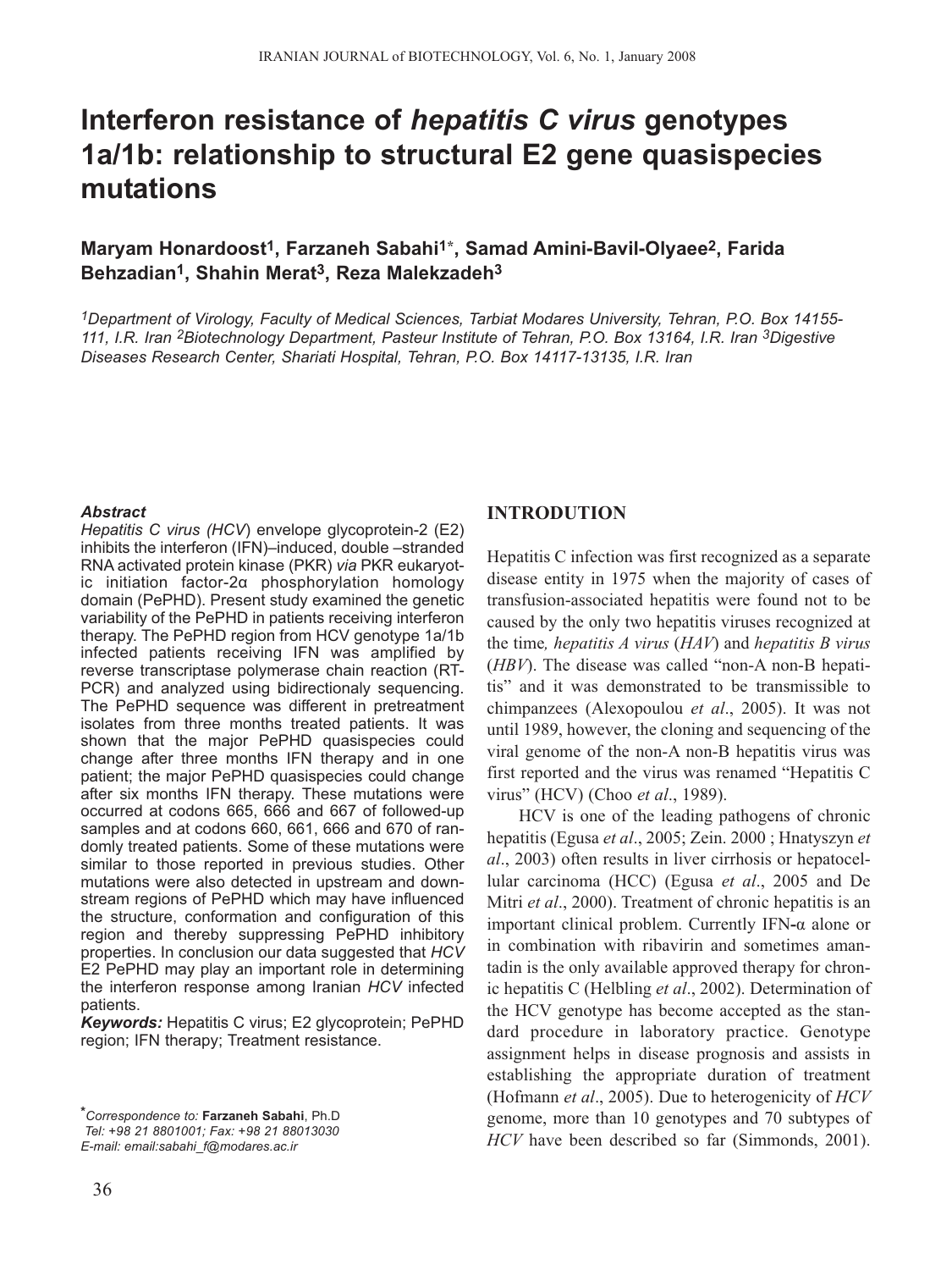# **Interferon resistance of** *hepatitis C virus* **genotypes 1a/1b: relationship to structural E2 gene quasispecies mutations**

## **Maryam Honardoost1, Farzaneh Sabahi1\*, Samad Amini-Bavil-Olyaee2, Farida Behzadian1, Shahin Merat3, Reza Malekzadeh3**

*1Department of Virology, Faculty of Medical Sciences, Tarbiat Modares University, Tehran, P.O. Box 14155- 111, I.R. Iran 2Biotechnology Department, Pasteur Institute of Tehran, P.O. Box 13164, I.R. Iran 3Digestive Diseases Research Center, Shariati Hospital, Tehran, P.O. Box 14117-13135, I.R. Iran* 

#### *Abstract*

*Hepatitis C virus (HCV*) envelope glycoprotein-2 (E2) inhibits the interferon (IFN)–induced, double –stranded RNA activated protein kinase (PKR) *via* PKR eukaryotic initiation factor-2α phosphorylation homology domain (PePHD). Present study examined the genetic variability of the PePHD in patients receiving interferon therapy. The PePHD region from HCV genotype 1a/1b infected patients receiving IFN was amplified by reverse transcriptase polymerase chain reaction (RT-PCR) and analyzed using bidirectionaly sequencing. The PePHD sequence was different in pretreatment isolates from three months treated patients. It was shown that the major PePHD quasispecies could change after three months IFN therapy and in one patient; the major PePHD quasispecies could change after six months IFN therapy. These mutations were occurred at codons 665, 666 and 667 of followed-up samples and at codons 660, 661, 666 and 670 of randomly treated patients. Some of these mutations were similar to those reported in previous studies. Other mutations were also detected in upstream and downstream regions of PePHD which may have influenced the structure, conformation and configuration of this region and thereby suppressing PePHD inhibitory properties. In conclusion our data suggested that *HCV* E2 PePHD may play an important role in determining the interferon response among Iranian *HCV* infected patients.

*Keywords:* Hepatitis C virus; E2 glycoprotein; PePHD region; IFN therapy; Treatment resistance.

## **INTRODUTION**

Hepatitis C infection was first recognized as a separate disease entity in 1975 when the majority of cases of transfusion-associated hepatitis were found not to be caused by the only two hepatitis viruses recognized at the time*, hepatitis A virus* (*HAV*) and *hepatitis B virus* (*HBV*). The disease was called "non-A non-B hepatitis" and it was demonstrated to be transmissible to chimpanzees (Alexopoulou *et al*., 2005). It was not until 1989, however, the cloning and sequencing of the viral genome of the non-A non-B hepatitis virus was first reported and the virus was renamed "Hepatitis C virus" (HCV) (Choo *et al*., 1989).

HCV is one of the leading pathogens of chronic hepatitis (Egusa *et al*., 2005; Zein. 2000 ; Hnatyszyn *et al*., 2003) often results in liver cirrhosis or hepatocellular carcinoma (HCC) (Egusa *et al*., 2005 and De Mitri *et al*., 2000). Treatment of chronic hepatitis is an important clinical problem. Currently IFN**-**α alone or in combination with ribavirin and sometimes amantadin is the only available approved therapy for chronic hepatitis C (Helbling *et al*., 2002). Determination of the HCV genotype has become accepted as the standard procedure in laboratory practice. Genotype assignment helps in disease prognosis and assists in establishing the appropriate duration of treatment (Hofmann *et al*., 2005). Due to heterogenicity of *HCV* genome, more than 10 genotypes and 70 subtypes of *HCV* have been described so far (Simmonds, 2001).

*<sup>\*</sup>Correspondence to:* **Farzaneh Sabahi**, Ph.D *Tel: +98 21 8801001; Fax: +98 21 88013030 E-mail: email:sabahi\_f@modares.ac.ir*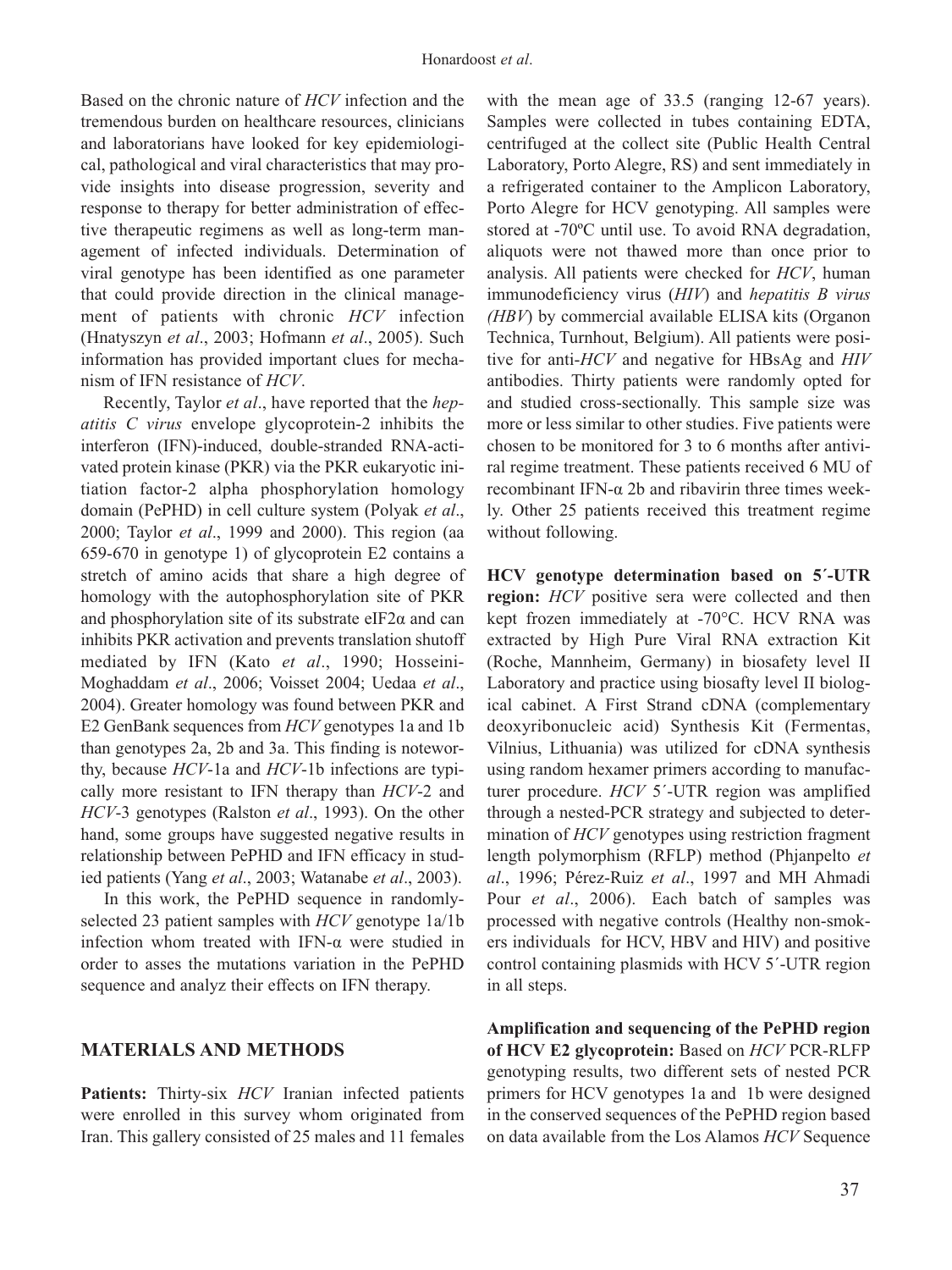Based on the chronic nature of *HCV* infection and the tremendous burden on healthcare resources, clinicians and laboratorians have looked for key epidemiological, pathological and viral characteristics that may provide insights into disease progression, severity and response to therapy for better administration of effective therapeutic regimens as well as long-term management of infected individuals. Determination of viral genotype has been identified as one parameter that could provide direction in the clinical management of patients with chronic *HCV* infection (Hnatyszyn *et al*., 2003; Hofmann *et al*., 2005). Such information has provided important clues for mechanism of IFN resistance of *HCV*.

Recently, Taylor *et al*., have reported that the *hepatitis C virus* envelope glycoprotein-2 inhibits the interferon (IFN)-induced, double-stranded RNA-activated protein kinase (PKR) via the PKR eukaryotic initiation factor-2 alpha phosphorylation homology domain (PePHD) in cell culture system (Polyak *et al*., 2000; Taylor *et al*., 1999 and 2000). This region (aa 659-670 in genotype 1) of glycoprotein E2 contains a stretch of amino acids that share a high degree of homology with the autophosphorylation site of PKR and phosphorylation site of its substrate eIF2 $\alpha$  and can inhibits PKR activation and prevents translation shutoff mediated by IFN (Kato *et al*., 1990; Hosseini-Moghaddam *et al*., 2006; Voisset 2004; Uedaa *et al*., 2004). Greater homology was found between PKR and E2 GenBank sequences from *HCV* genotypes 1a and 1b than genotypes 2a, 2b and 3a. This finding is noteworthy, because *HCV*-1a and *HCV*-1b infections are typically more resistant to IFN therapy than *HCV*-2 and *HCV*-3 genotypes (Ralston *et al*., 1993). On the other hand, some groups have suggested negative results in relationship between PePHD and IFN efficacy in studied patients (Yang *et al*., 2003; Watanabe *et al*., 2003).

In this work, the PePHD sequence in randomlyselected 23 patient samples with *HCV* genotype 1a/1b infection whom treated with IFN- $\alpha$  were studied in order to asses the mutations variation in the PePHD sequence and analyz their effects on IFN therapy.

#### **MATERIALS AND METHODS**

**Patients:** Thirty-six *HCV* Iranian infected patients were enrolled in this survey whom originated from Iran. This gallery consisted of 25 males and 11 females with the mean age of 33.5 (ranging 12-67 years). Samples were collected in tubes containing EDTA, centrifuged at the collect site (Public Health Central Laboratory, Porto Alegre, RS) and sent immediately in a refrigerated container to the Amplicon Laboratory, Porto Alegre for HCV genotyping. All samples were stored at -70ºC until use. To avoid RNA degradation, aliquots were not thawed more than once prior to analysis. All patients were checked for *HCV*, human immunodeficiency virus (*HIV*) and *hepatitis B virus (HBV*) by commercial available ELISA kits (Organon Technica, Turnhout, Belgium). All patients were positive for anti-*HCV* and negative for HBsAg and *HIV* antibodies. Thirty patients were randomly opted for and studied cross-sectionally. This sample size was more or less similar to other studies. Five patients were chosen to be monitored for 3 to 6 months after antiviral regime treatment. These patients received 6 MU of recombinant IFN-α 2b and ribavirin three times weekly. Other 25 patients received this treatment regime without following.

**HCV genotype determination based on 5´-UTR region:** *HCV* positive sera were collected and then kept frozen immediately at -70°C. HCV RNA was extracted by High Pure Viral RNA extraction Kit (Roche, Mannheim, Germany) in biosafety level II Laboratory and practice using biosafty level II biological cabinet. A First Strand cDNA (complementary deoxyribonucleic acid) Synthesis Kit (Fermentas, Vilnius, Lithuania) was utilized for cDNA synthesis using random hexamer primers according to manufacturer procedure. *HCV* 5´-UTR region was amplified through a nested-PCR strategy and subjected to determination of *HCV* genotypes using restriction fragment length polymorphism (RFLP) method (Phjanpelto *et al*., 1996; Pérez-Ruiz *et al*., 1997 and MH Ahmadi Pour *et al*., 2006). Each batch of samples was processed with negative controls (Healthy non-smokers individuals for HCV, HBV and HIV) and positive control containing plasmids with HCV 5´-UTR region in all steps.

**Amplification and sequencing of the PePHD region of HCV E2 glycoprotein:** Based on *HCV* PCR-RLFP genotyping results, two different sets of nested PCR primers for HCV genotypes 1a and 1b were designed in the conserved sequences of the PePHD region based on data available from the Los Alamos *HCV* Sequence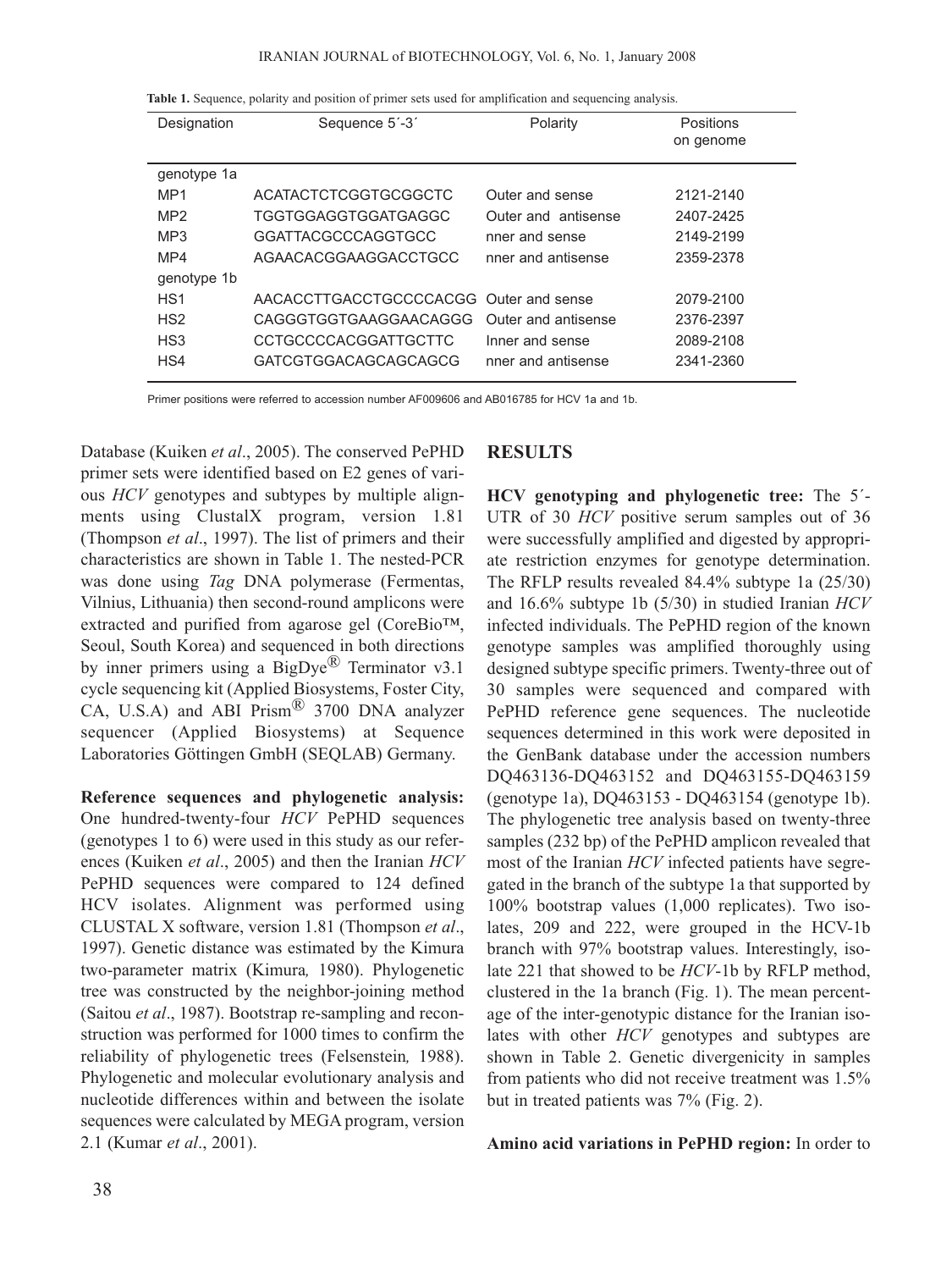#### IRANIAN JOURNAL of BIOTECHNOLOGY, Vol. 6, No. 1, January 2008

|  |  |  |  |  |  |  |  |  |  |  | Table 1. Sequence, polarity and position of primer sets used for amplification and sequencing analysis. |  |  |  |  |
|--|--|--|--|--|--|--|--|--|--|--|---------------------------------------------------------------------------------------------------------|--|--|--|--|
|--|--|--|--|--|--|--|--|--|--|--|---------------------------------------------------------------------------------------------------------|--|--|--|--|

| Designation     | Sequence 5'-3'                         | Polarity            | Positions<br>on genome |
|-----------------|----------------------------------------|---------------------|------------------------|
| genotype 1a     |                                        |                     |                        |
| MP <sub>1</sub> | ACATACTCTCGGTGCGGCTC                   | Outer and sense     | 2121-2140              |
| MP <sub>2</sub> | TGGTGGAGGTGGATGAGGC                    | Outer and antisense | 2407-2425              |
| MP <sub>3</sub> | GGATTACGCCCAGGTGCC                     | nner and sense      | 2149-2199              |
| MP4             | AGAACACGGAAGGACCTGCC                   | nner and antisense  | 2359-2378              |
| genotype 1b     |                                        |                     |                        |
| HS <sub>1</sub> | AACACCTTGACCTGCCCCACGG Outer and sense |                     | 2079-2100              |
| HS <sub>2</sub> | CAGGGTGGTGAAGGAACAGGG                  | Outer and antisense | 2376-2397              |
| HS <sub>3</sub> | <b>CCTGCCCCACGGATTGCTTC</b>            | Inner and sense     | 2089-2108              |
| HS4             | GATCGTGGACAGCAGCAGCG                   | nner and antisense  | 2341-2360              |
|                 |                                        |                     |                        |

Primer positions were referred to accession number AF009606 and AB016785 for HCV 1a and 1b.

Database (Kuiken *et al*., 2005). The conserved PePHD primer sets were identified based on E2 genes of various *HCV* genotypes and subtypes by multiple alignments using ClustalX program, version 1.81 (Thompson *et al*., 1997). The list of primers and their characteristics are shown in Table 1. The nested-PCR was done using *Tag* DNA polymerase (Fermentas, Vilnius, Lithuania) then second-round amplicons were extracted and purified from agarose gel (CoreBio™, Seoul, South Korea) and sequenced in both directions by inner primers using a  $BigDye^{x}$  Terminator v3.1 cycle sequencing kit (Applied Biosystems, Foster City, CA, U.S.A) and ABI Prism® 3700 DNA analyzer sequencer (Applied Biosystems) at Sequence Laboratories Göttingen GmbH (SEQLAB) Germany.

**Reference sequences and phylogenetic analysis:** One hundred-twenty-four *HCV* PePHD sequences (genotypes 1 to 6) were used in this study as our references (Kuiken *et al*., 2005) and then the Iranian *HCV* PePHD sequences were compared to 124 defined HCV isolates. Alignment was performed using CLUSTAL X software, version 1.81 (Thompson *et al*., 1997). Genetic distance was estimated by the Kimura two-parameter matrix (Kimura*,* 1980). Phylogenetic tree was constructed by the neighbor-joining method (Saitou *et al*., 1987). Bootstrap re-sampling and reconstruction was performed for 1000 times to confirm the reliability of phylogenetic trees (Felsenstein*,* 1988). Phylogenetic and molecular evolutionary analysis and nucleotide differences within and between the isolate sequences were calculated by MEGA program, version 2.1 (Kumar *et al*., 2001).

## **RESULTS**

**HCV genotyping and phylogenetic tree:** The 5´- UTR of 30 *HCV* positive serum samples out of 36 were successfully amplified and digested by appropriate restriction enzymes for genotype determination. The RFLP results revealed 84.4% subtype 1a (25/30) and 16.6% subtype 1b (5/30) in studied Iranian *HCV* infected individuals. The PePHD region of the known genotype samples was amplified thoroughly using designed subtype specific primers. Twenty-three out of 30 samples were sequenced and compared with PePHD reference gene sequences. The nucleotide sequences determined in this work were deposited in the GenBank database under the accession numbers DQ463136-DQ463152 and DQ463155-DQ463159 (genotype 1a), DQ463153 - DQ463154 (genotype 1b). The phylogenetic tree analysis based on twenty-three samples (232 bp) of the PePHD amplicon revealed that most of the Iranian *HCV* infected patients have segregated in the branch of the subtype 1a that supported by 100% bootstrap values (1,000 replicates). Two isolates, 209 and 222, were grouped in the HCV-1b branch with 97% bootstrap values. Interestingly, isolate 221 that showed to be *HCV*-1b by RFLP method, clustered in the 1a branch (Fig. 1). The mean percentage of the inter-genotypic distance for the Iranian isolates with other *HCV* genotypes and subtypes are shown in Table 2. Genetic divergenicity in samples from patients who did not receive treatment was 1.5% but in treated patients was 7% (Fig. 2).

### **Amino acid variations in PePHD region:** In order to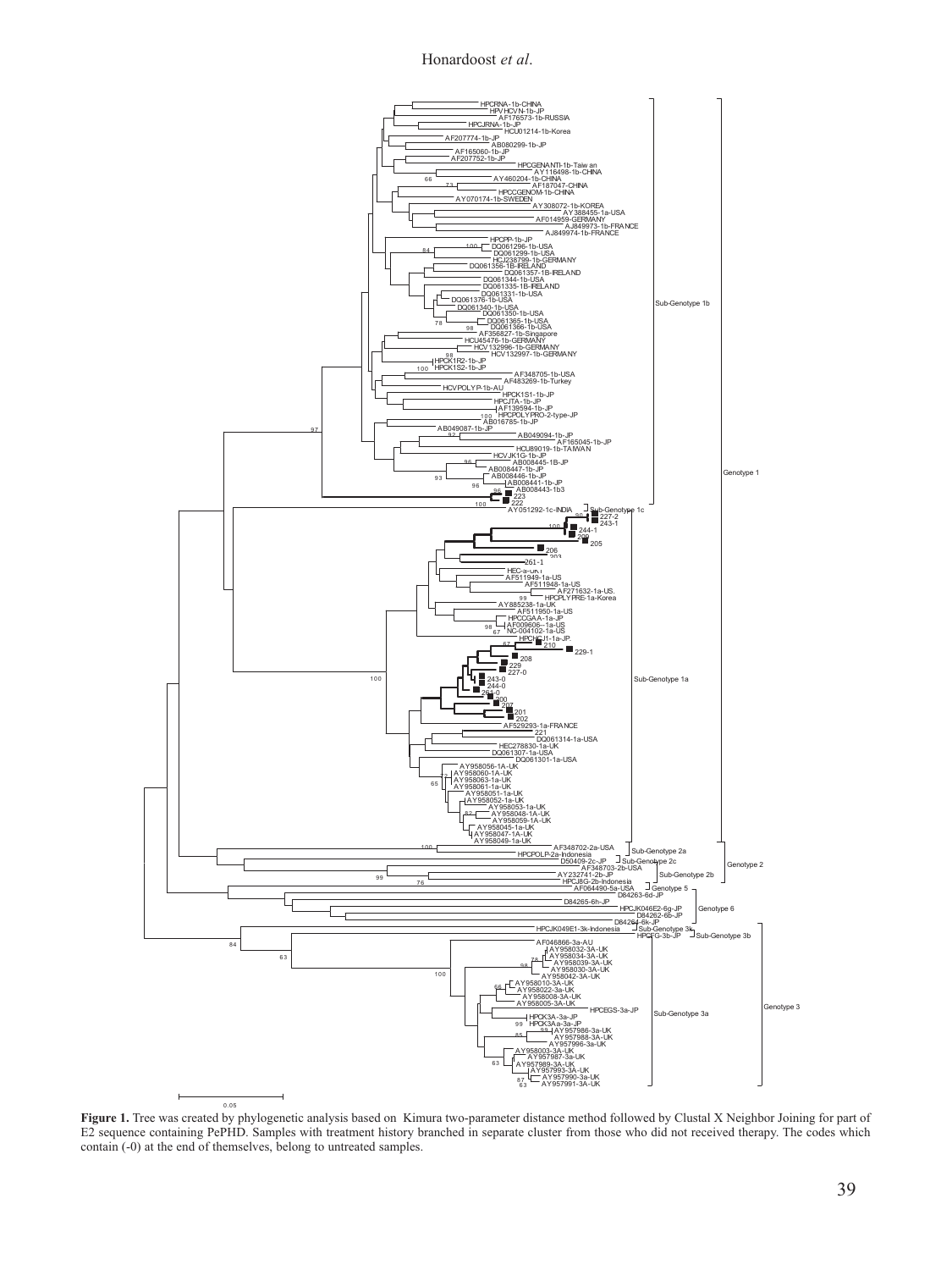#### Honardoost *et al*.



Figure 1. Tree was created by phylogenetic analysis based on Kimura two-parameter distance method followed by Clustal X Neighbor Joining for part of E2 sequence containing PePHD. Samples with treatment history branched in separate cluster from those who did not received therapy. The codes which contain (-0) at the end of themselves, belong to untreated samples.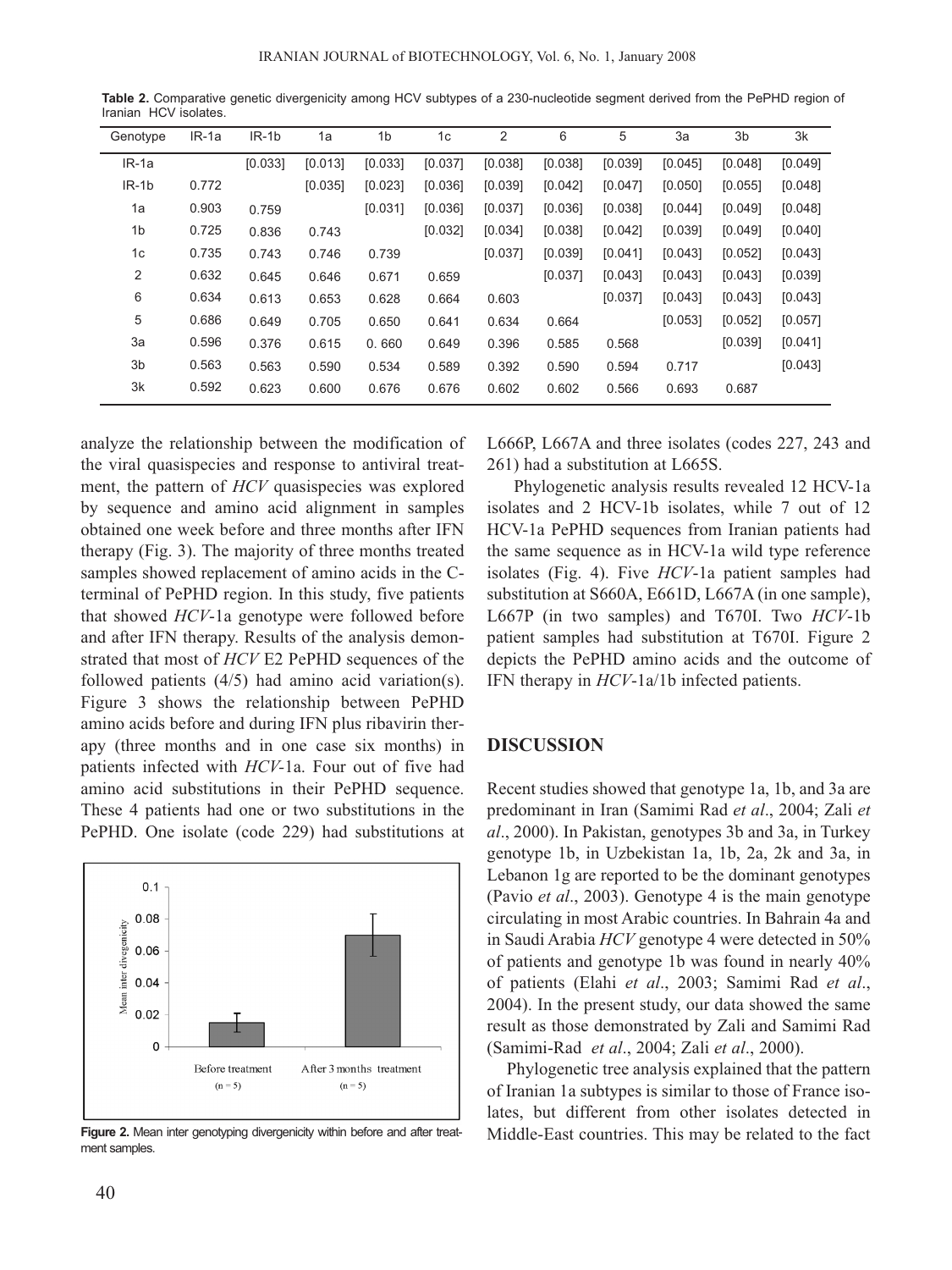| Genotype | $IR-1a$ | $IR-1b$ | 1a      | 1 <sub>b</sub> | 1c      | 2       | 6       | 5       | 3a      | 3 <sub>b</sub> | 3k      |
|----------|---------|---------|---------|----------------|---------|---------|---------|---------|---------|----------------|---------|
| IR-1a    |         | [0.033] | [0.013] | [0.033]        | [0.037] | [0.038] | [0.038] | [0.039] | [0.045] | [0.048]        | [0.049] |
| $IR-1b$  | 0.772   |         | [0.035] | [0.023]        | [0.036] | [0.039] | [0.042] | [0.047] | [0.050] | [0.055]        | [0.048] |
| 1a       | 0.903   | 0.759   |         | [0.031]        | [0.036] | [0.037] | [0.036] | [0.038] | [0.044] | [0.049]        | [0.048] |
| 1b       | 0.725   | 0.836   | 0.743   |                | [0.032] | [0.034] | [0.038] | [0.042] | [0.039] | [0.049]        | [0.040] |
| 1c       | 0.735   | 0.743   | 0.746   | 0.739          |         | [0.037] | [0.039] | [0.041] | [0.043] | [0.052]        | [0.043] |
| 2        | 0.632   | 0.645   | 0.646   | 0.671          | 0.659   |         | [0.037] | [0.043] | [0.043] | [0.043]        | [0.039] |
| 6        | 0.634   | 0.613   | 0.653   | 0.628          | 0.664   | 0.603   |         | [0.037] | [0.043] | [0.043]        | [0.043] |
| 5        | 0.686   | 0.649   | 0.705   | 0.650          | 0.641   | 0.634   | 0.664   |         | [0.053] | [0.052]        | [0.057] |
| 3a       | 0.596   | 0.376   | 0.615   | 0.660          | 0.649   | 0.396   | 0.585   | 0.568   |         | [0.039]        | [0.041] |
| 3b       | 0.563   | 0.563   | 0.590   | 0.534          | 0.589   | 0.392   | 0.590   | 0.594   | 0.717   |                | [0.043] |
| 3k       | 0.592   | 0.623   | 0.600   | 0.676          | 0.676   | 0.602   | 0.602   | 0.566   | 0.693   | 0.687          |         |

**Table 2.** Comparative genetic divergenicity among HCV subtypes of a 230-nucleotide segment derived from the PePHD region of Iranian HCV isolates.

analyze the relationship between the modification of the viral quasispecies and response to antiviral treatment, the pattern of *HCV* quasispecies was explored by sequence and amino acid alignment in samples obtained one week before and three months after IFN therapy (Fig. 3). The majority of three months treated samples showed replacement of amino acids in the Cterminal of PePHD region. In this study, five patients that showed *HCV*-1a genotype were followed before and after IFN therapy. Results of the analysis demonstrated that most of *HCV* E2 PePHD sequences of the followed patients (4/5) had amino acid variation(s). Figure 3 shows the relationship between PePHD amino acids before and during IFN plus ribavirin therapy (three months and in one case six months) in patients infected with *HCV-*1a. Four out of five had amino acid substitutions in their PePHD sequence. These 4 patients had one or two substitutions in the PePHD. One isolate (code 229) had substitutions at



Figure 2. Mean inter genotyping divergenicity within before and after treatment samples.

L666P, L667A and three isolates (codes 227, 243 and 261) had a substitution at L665S.

Phylogenetic analysis results revealed 12 HCV-1a isolates and 2 HCV-1b isolates, while 7 out of 12 HCV-1a PePHD sequences from Iranian patients had the same sequence as in HCV-1a wild type reference isolates (Fig. 4). Five *HCV*-1a patient samples had substitution at S660A, E661D, L667A (in one sample), L667P (in two samples) and T670I. Two *HCV*-1b patient samples had substitution at T670I. Figure 2 depicts the PePHD amino acids and the outcome of IFN therapy in *HCV*-1a/1b infected patients.

### **DISCUSSION**

Recent studies showed that genotype 1a, 1b, and 3a are predominant in Iran (Samimi Rad *et al*., 2004; Zali *et al*., 2000). In Pakistan, genotypes 3b and 3a, in Turkey genotype 1b, in Uzbekistan 1a, 1b, 2a, 2k and 3a, in Lebanon 1g are reported to be the dominant genotypes (Pavio *et al*., 2003). Genotype 4 is the main genotype circulating in most Arabic countries. In Bahrain 4a and in Saudi Arabia *HCV* genotype 4 were detected in 50% of patients and genotype 1b was found in nearly 40% of patients (Elahi *et al*., 2003; Samimi Rad *et al*., 2004). In the present study, our data showed the same result as those demonstrated by Zali and Samimi Rad (Samimi-Rad *et al*., 2004; Zali *et al*., 2000).

Phylogenetic tree analysis explained that the pattern of Iranian 1a subtypes is similar to those of France isolates, but different from other isolates detected in Middle-East countries. This may be related to the fact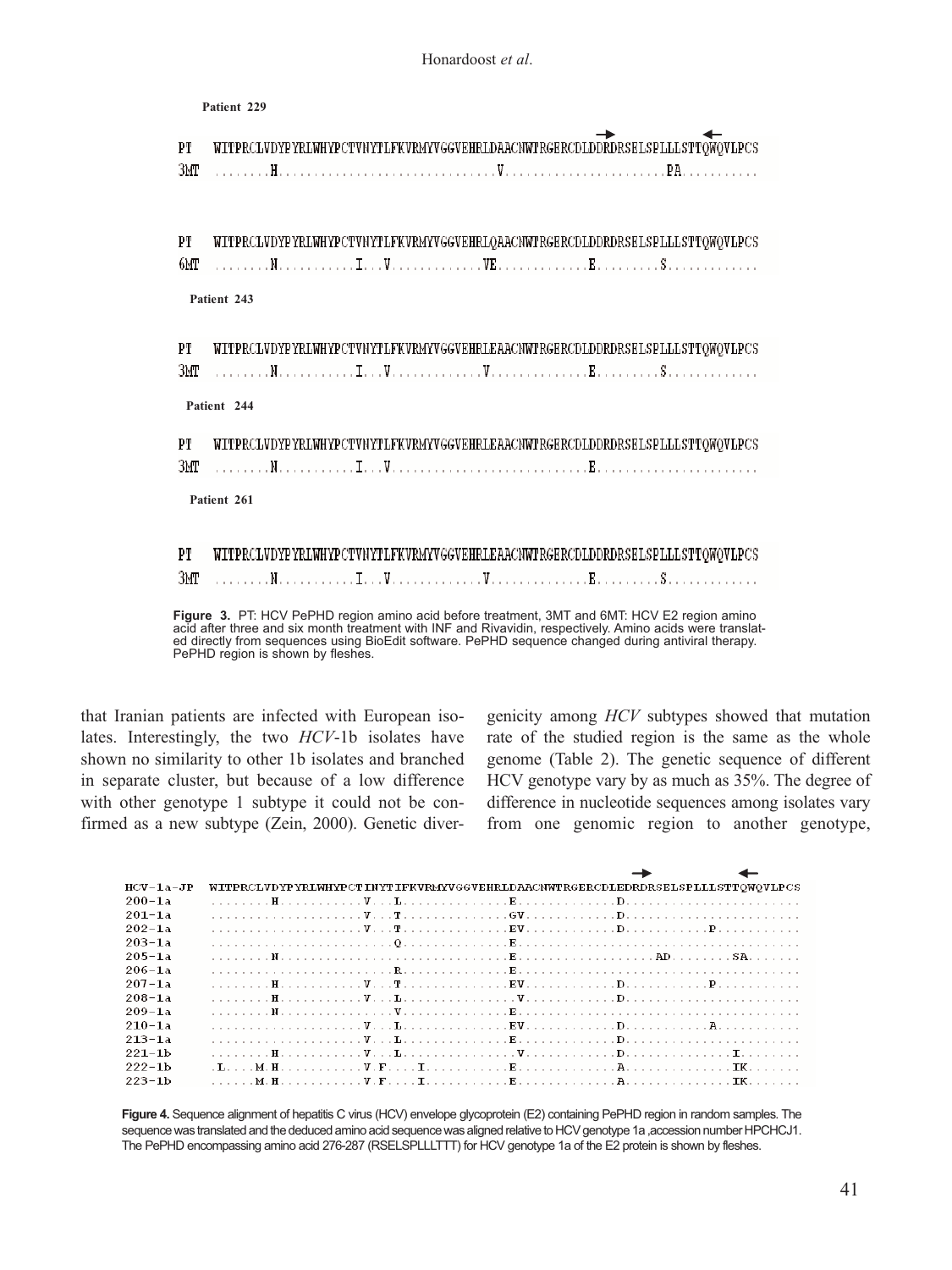**Patient 229** WITPRCLVDYPYRLWHYPCTVNYTLFKVRMYVGGVEHRLDAACNWTRGERCDLDDRDRSELSPLLLSTTOWOVLPCS PT ЗМТ WITPRCLVDYPYRLWHYPCTVNYTLFKVRMYVGGVEHRLQAACNWTRGERCDLDDRDRSELSPLLLSTTQWQVLPCS PТ 6МТ **Patient 243** PТ WITPRCLVDYPYRLWHYPCTVNYTLFKVRMYVGGVEHRLEAACNWTRGERCDLDDRDRSELSPLLLSTTQWQVLPCS ЗМТ **Patient 244** PT WITPRCLVDYPYRLWHYPCTVNYTLFKVRMYVGGVEHRLEAACNWTRGERCDLDDRDRSELSPLLLSTTOWOVLPCS ЗМТ **Patient 261** PТ WITPRCLVDYPYRLWHYPCTVNYTLFKVRMYVGGVEHRLEAACNWTRGERCDLDDRDRSELSPLLLSTTQWQVLPCS ЗМТ

Id after three and six month treatment with INF and Rivavidin, respectively. Amino acids were translat directly from sequences using BioEdit software. PePHD sequence changed during antiviral therapy. PePHD region is shown by fleshes. Person is shown by fleshes. **Figure 3.** PT: HCV PePHD region amino acid before treatment, 3MT and 6MT: HCV E2 region amino acid after three and six month treatment with INF and Rivavidin, respectively. Amino acids were translated directly from sequences using BioEdit software. PePHD sequence changed during antiviral therapy.

that Iranian patients are infected with European isolates. Interestingly, the two *HCV*-1b isolates have shown no similarity to other 1b isolates and branched in separate cluster, but because of a low difference with other genotype 1 subtype it could not be confirmed as a new subtype (Zein, 2000). Genetic diver-

genicity among *HCV* subtypes showed that mutation rate of the studied region is the same as the whole genome (Table 2). The genetic sequence of different HCV genotype vary by as much as 35%. The degree of difference in nucleotide sequences among isolates vary from one genomic region to another genotype,

| $HCV-1a-JP$ | WITPRCLVDYPYRLWHYPCTINYTIFKVRMYVGGVEHRLDAACNWTRGERCDLEDRDRSELSPLLLSTTQWQVLPCS |
|-------------|-------------------------------------------------------------------------------|
| $200 - 1a$  |                                                                               |
| $201 - 1a$  |                                                                               |
| $202 - 1a$  |                                                                               |
| $203 - 1a$  |                                                                               |
| $205 - 1a$  |                                                                               |
| $206 - 1a$  |                                                                               |
| $207 - 1a$  |                                                                               |
| $208 - 1a$  |                                                                               |
| $209 - 1a$  |                                                                               |
| $210 - 1a$  |                                                                               |
| $213 - 1a$  |                                                                               |
| $221 - 1b$  |                                                                               |
| $222 - 1b$  |                                                                               |
| $223 - 1b$  |                                                                               |

**Figure 4.** Sequence alignment of hepatitis C virus (HCV) envelope glycoprotein (E2) containing PePHD region in random samples. The sequence was translated and the deduced amino acid sequence was aligned relative to HCV genotype 1a ,accession number HPCHCJ1. The PePHD encompassing amino acid 276-287 (RSELSPLLLTTT) for HCV genotype 1a of the E2 protein is shown by fleshes.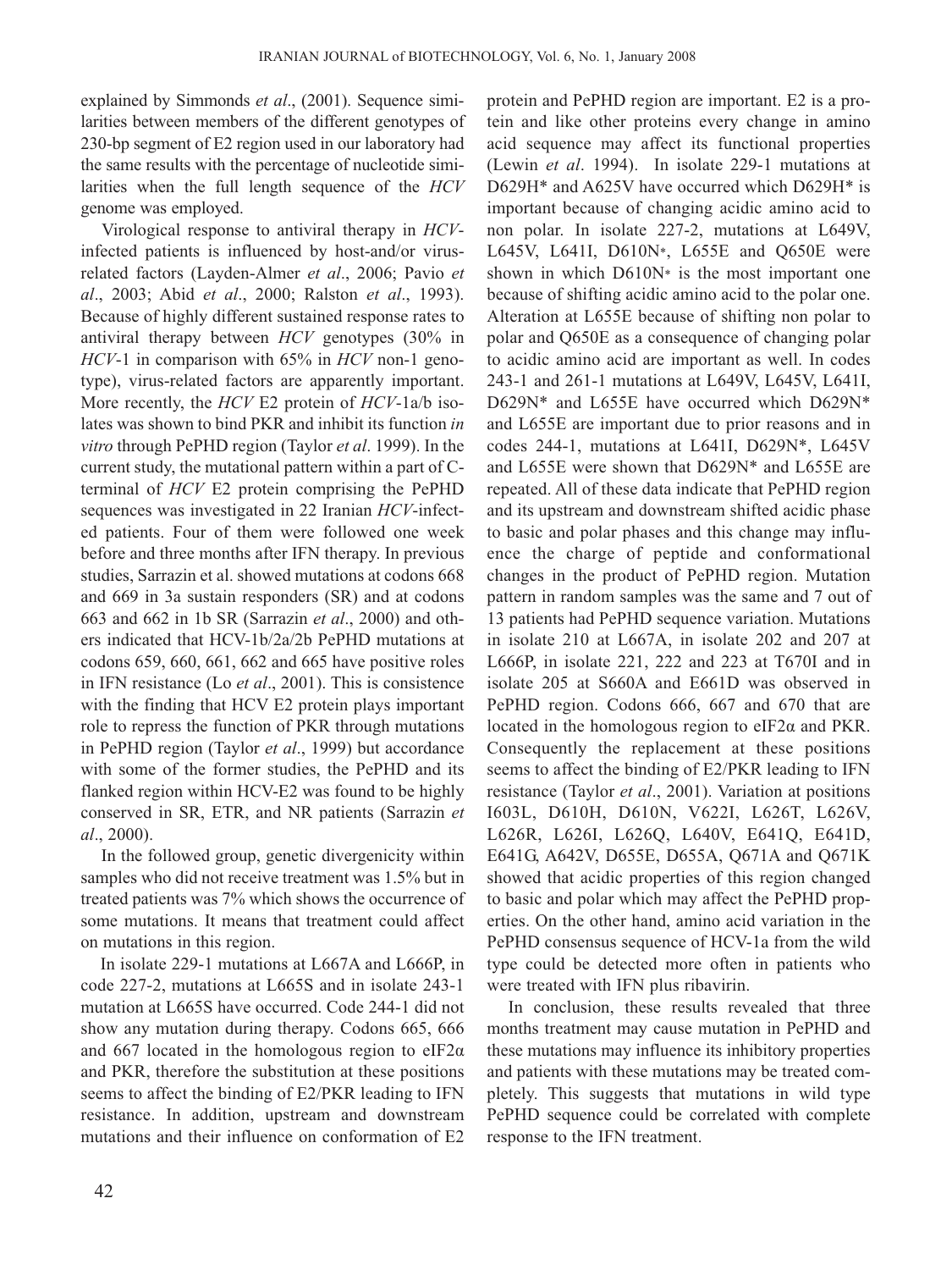explained by Simmonds *et al*., (2001). Sequence similarities between members of the different genotypes of 230-bp segment of E2 region used in our laboratory had the same results with the percentage of nucleotide similarities when the full length sequence of the *HCV* genome was employed.

Virological response to antiviral therapy in *HCV*infected patients is influenced by host-and/or virusrelated factors (Layden-Almer *et al*., 2006; Pavio *et al*., 2003; Abid *et al*., 2000; Ralston *et al*., 1993). Because of highly different sustained response rates to antiviral therapy between *HCV* genotypes (30% in *HCV*-1 in comparison with 65% in *HCV* non-1 genotype), virus-related factors are apparently important. More recently, the *HCV* E2 protein of *HCV*-1a/b isolates was shown to bind PKR and inhibit its function *in vitro* through PePHD region (Taylor *et al*. 1999). In the current study, the mutational pattern within a part of Cterminal of *HCV* E2 protein comprising the PePHD sequences was investigated in 22 Iranian *HCV*-infected patients. Four of them were followed one week before and three months after IFN therapy. In previous studies, Sarrazin et al. showed mutations at codons 668 and 669 in 3a sustain responders (SR) and at codons 663 and 662 in 1b SR (Sarrazin *et al*., 2000) and others indicated that HCV-1b/2a/2b PePHD mutations at codons 659, 660, 661, 662 and 665 have positive roles in IFN resistance (Lo *et al*., 2001). This is consistence with the finding that HCV E2 protein plays important role to repress the function of PKR through mutations in PePHD region (Taylor *et al*., 1999) but accordance with some of the former studies, the PePHD and its flanked region within HCV-E2 was found to be highly conserved in SR, ETR, and NR patients (Sarrazin *et al*., 2000).

In the followed group, genetic divergenicity within samples who did not receive treatment was 1.5% but in treated patients was 7% which shows the occurrence of some mutations. It means that treatment could affect on mutations in this region.

In isolate 229-1 mutations at L667A and L666P, in code 227-2, mutations at L665S and in isolate 243-1 mutation at L665S have occurred. Code 244-1 did not show any mutation during therapy. Codons 665, 666 and 667 located in the homologous region to eIF2 $\alpha$ and PKR, therefore the substitution at these positions seems to affect the binding of E2/PKR leading to IFN resistance. In addition, upstream and downstream mutations and their influence on conformation of E2

protein and PePHD region are important. E2 is a protein and like other proteins every change in amino acid sequence may affect its functional properties (Lewin *et al*. 1994). In isolate 229-1 mutations at D629H\* and A625V have occurred which D629H\* is important because of changing acidic amino acid to non polar. In isolate 227-2, mutations at L649V, L645V, L641I, D610N\*, L655E and Q650E were shown in which D610N\* is the most important one because of shifting acidic amino acid to the polar one. Alteration at L655E because of shifting non polar to polar and Q650E as a consequence of changing polar to acidic amino acid are important as well. In codes 243-1 and 261-1 mutations at L649V, L645V, L641I, D629N\* and L655E have occurred which D629N\* and L655E are important due to prior reasons and in codes 244-1, mutations at L641I, D629N\*, L645V and L655E were shown that D629N\* and L655E are repeated. All of these data indicate that PePHD region and its upstream and downstream shifted acidic phase to basic and polar phases and this change may influence the charge of peptide and conformational changes in the product of PePHD region. Mutation pattern in random samples was the same and 7 out of 13 patients had PePHD sequence variation. Mutations in isolate 210 at L667A, in isolate 202 and 207 at L666P, in isolate 221, 222 and 223 at T670I and in isolate 205 at S660A and E661D was observed in PePHD region. Codons 666, 667 and 670 that are located in the homologous region to eIF2α and PKR. Consequently the replacement at these positions seems to affect the binding of E2/PKR leading to IFN resistance (Taylor *et al*., 2001). Variation at positions I603L, D610H, D610N, V622I, L626T, L626V, L626R, L626I, L626Q, L640V, E641Q, E641D, E641G, A642V, D655E, D655A, Q671A and Q671K showed that acidic properties of this region changed to basic and polar which may affect the PePHD properties. On the other hand, amino acid variation in the PePHD consensus sequence of HCV-1a from the wild type could be detected more often in patients who were treated with IFN plus ribavirin.

In conclusion, these results revealed that three months treatment may cause mutation in PePHD and these mutations may influence its inhibitory properties and patients with these mutations may be treated completely. This suggests that mutations in wild type PePHD sequence could be correlated with complete response to the IFN treatment.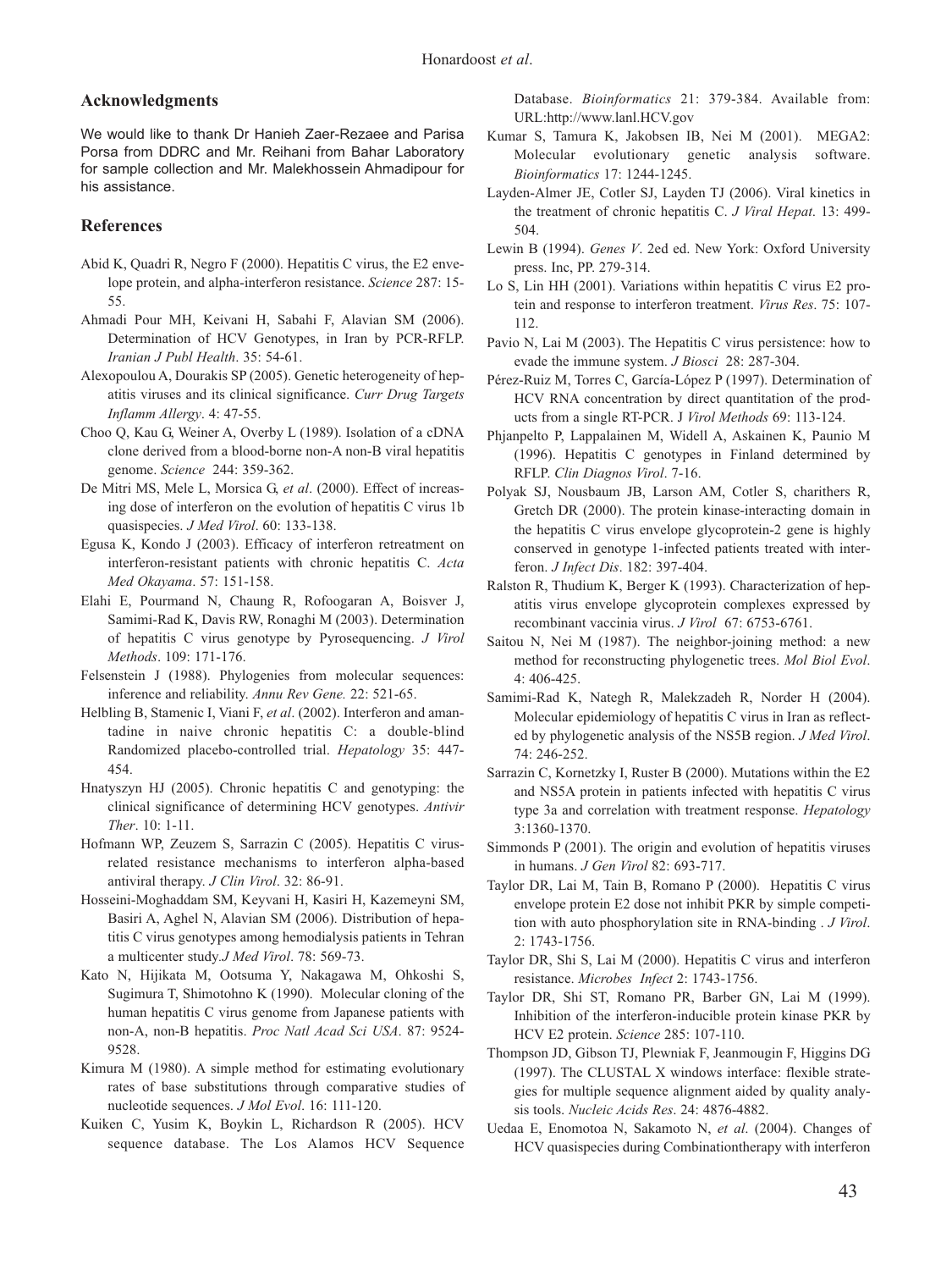#### **Acknowledgments**

We would like to thank Dr Hanieh Zaer-Rezaee and Parisa Porsa from DDRC and Mr. Reihani from Bahar Laboratory for sample collection and Mr. Malekhossein Ahmadipour for his assistance.

#### **References**

- Abid K, Quadri R, Negro F (2000). Hepatitis C virus, the E2 envelope protein, and alpha-interferon resistance. *Science* 287: 15- 55.
- Ahmadi Pour MH, Keivani H, Sabahi F, Alavian SM (2006). Determination of HCV Genotypes, in Iran by PCR-RFLP. *Iranian J Publ Health*. 35: 54-61.
- Alexopoulou A, Dourakis SP (2005). Genetic heterogeneity of hepatitis viruses and its clinical significance. *Curr Drug Targets Inflamm Allergy*. 4: 47-55.
- Choo Q, Kau G, Weiner A, Overby L (1989). Isolation of a cDNA clone derived from a blood-borne non-A non-B viral hepatitis genome. *Science* 244: 359-362.
- De Mitri MS, Mele L, Morsica G, *et al*. (2000). Effect of increasing dose of interferon on the evolution of hepatitis C virus 1b quasispecies. *J Med Virol*. 60: 133-138.
- Egusa K, Kondo J (2003). Efficacy of interferon retreatment on interferon-resistant patients with chronic hepatitis C. *Acta Med Okayama*. 57: 151-158.
- Elahi E, Pourmand N, Chaung R, Rofoogaran A, Boisver J, Samimi-Rad K, Davis RW, Ronaghi M (2003). Determination of hepatitis C virus genotype by Pyrosequencing. *J Virol Methods*. 109: 171-176.
- Felsenstein J (1988). Phylogenies from molecular sequences: inference and reliability. *Annu Rev Gene.* 22: 521-65.
- Helbling B, Stamenic I, Viani F, *et al*. (2002). Interferon and amantadine in naive chronic hepatitis C: a double-blind Randomized placebo-controlled trial. *Hepatology* 35: 447- 454.
- Hnatyszyn HJ (2005). Chronic hepatitis C and genotyping: the clinical significance of determining HCV genotypes. *Antivir Ther*. 10: 1-11.
- Hofmann WP, Zeuzem S, Sarrazin C (2005). Hepatitis C virusrelated resistance mechanisms to interferon alpha-based antiviral therapy. *J Clin Virol*. 32: 86-91.
- Hosseini-Moghaddam SM, Keyvani H, Kasiri H, Kazemeyni SM, Basiri A, Aghel N, Alavian SM (2006). Distribution of hepatitis C virus genotypes among hemodialysis patients in Tehran a multicenter study*.J Med Virol*. 78: 569-73.
- Kato N, Hijikata M, Ootsuma Y, Nakagawa M, Ohkoshi S, Sugimura T, Shimotohno K (1990). Molecular cloning of the human hepatitis C virus genome from Japanese patients with non-A, non-B hepatitis. *Proc Natl Acad Sci USA*. 87: 9524- 9528.
- Kimura M (1980). A simple method for estimating evolutionary rates of base substitutions through comparative studies of nucleotide sequences. *J Mol Evol*. 16: 111-120.
- Kuiken C, Yusim K, Boykin L, Richardson R (2005). HCV sequence database. The Los Alamos HCV Sequence

Database. *Bioinformatics* 21: 379-384. Available from: URL:http://www.lanl.HCV.gov

- Kumar S, Tamura K, Jakobsen IB, Nei M (2001). MEGA2: Molecular evolutionary genetic analysis software. *Bioinformatics* 17: 1244-1245.
- Layden-Almer JE, Cotler SJ, Layden TJ (2006). Viral kinetics in the treatment of chronic hepatitis C. *J Viral Hepat*. 13: 499- 504.
- Lewin B (1994). *Genes V*. 2ed ed. New York: Oxford University press. Inc, PP. 279-314.
- Lo S, Lin HH (2001). Variations within hepatitis C virus E2 protein and response to interferon treatment. *Virus Res*. 75: 107- 112.
- Pavio N, Lai M (2003). The Hepatitis C virus persistence: how to evade the immune system. *J Biosci* 28: 287-304.
- Pérez-Ruiz M, Torres C, García-López P (1997). Determination of HCV RNA concentration by direct quantitation of the products from a single RT-PCR. J *Virol Methods* 69: 113-124.
- Phjanpelto P, Lappalainen M, Widell A, Askainen K, Paunio M (1996). Hepatitis C genotypes in Finland determined by RFLP. *Clin Diagnos Virol*. 7-16.
- Polyak SJ, Nousbaum JB, Larson AM, Cotler S, charithers R, Gretch DR (2000). The protein kinase-interacting domain in the hepatitis C virus envelope glycoprotein-2 gene is highly conserved in genotype 1-infected patients treated with interferon. *J Infect Dis*. 182: 397-404.
- Ralston R, Thudium K, Berger K (1993). Characterization of hepatitis virus envelope glycoprotein complexes expressed by recombinant vaccinia virus. *J Virol* 67: 6753-6761.
- Saitou N, Nei M (1987). The neighbor-joining method: a new method for reconstructing phylogenetic trees. *Mol Biol Evol*. 4: 406-425.
- Samimi-Rad K, Nategh R, Malekzadeh R, Norder H (2004). Molecular epidemiology of hepatitis C virus in Iran as reflected by phylogenetic analysis of the NS5B region. *J Med Virol*. 74: 246-252.
- Sarrazin C, Kornetzky I, Ruster B (2000). Mutations within the E2 and NS5A protein in patients infected with hepatitis C virus type 3a and correlation with treatment response. *Hepatology* 3:1360-1370.
- Simmonds P (2001). The origin and evolution of hepatitis viruses in humans. *J Gen Virol* 82: 693-717.
- Taylor DR, Lai M, Tain B, Romano P (2000). Hepatitis C virus envelope protein E2 dose not inhibit PKR by simple competition with auto phosphorylation site in RNA-binding . *J Virol*. 2: 1743-1756.
- Taylor DR, Shi S, Lai M (2000). Hepatitis C virus and interferon resistance. *Microbes Infect* 2: 1743-1756.
- Taylor DR, Shi ST, Romano PR, Barber GN, Lai M (1999). Inhibition of the interferon-inducible protein kinase PKR by HCV E2 protein. *Science* 285: 107-110.
- Thompson JD, Gibson TJ, Plewniak F, Jeanmougin F, Higgins DG (1997). The CLUSTAL X windows interface: flexible strategies for multiple sequence alignment aided by quality analysis tools. *Nucleic Acids Res*. 24: 4876-4882.
- Uedaa E, Enomotoa N, Sakamoto N, *et al*. (2004). Changes of HCV quasispecies during Combinationtherapy with interferon